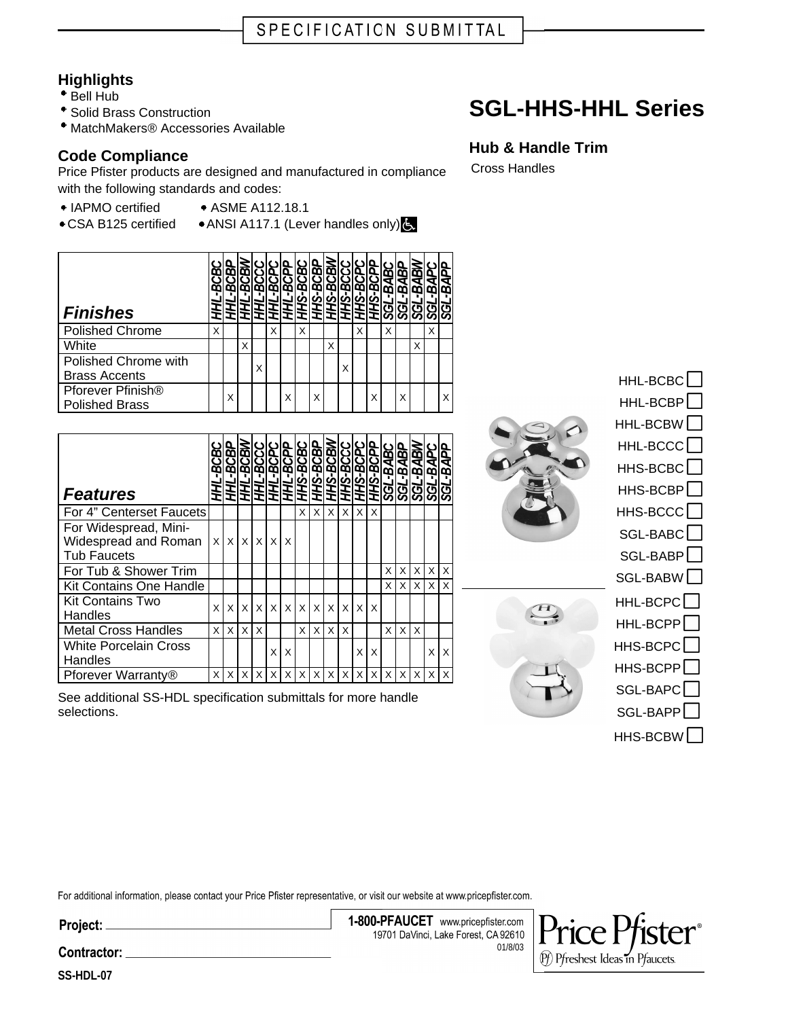## **Highlights**

- Bell Hub
- Solid Brass Construction
- MatchMakers® Accessories Available

## **Code Compliance**

Price Pfister products are designed and manufactured in compliance with the following standards and codes:

- IAPMO certified ASME A112.18.1
- 
- CSA B125 certified ANSI A117.1 (Lever handles only)

| <b>Finishes</b>                                        |   |   |   |   |   |   |   |   |   |   |   |   |   |   |   |   |  |
|--------------------------------------------------------|---|---|---|---|---|---|---|---|---|---|---|---|---|---|---|---|--|
| <b>Polished Chrome</b>                                 | X |   |   |   | Χ |   | X |   |   |   | X |   | X |   |   | X |  |
| White                                                  |   |   | X |   |   |   |   |   | X |   |   |   |   |   | X |   |  |
| Polished Chrome with<br><b>Brass Accents</b>           |   |   |   | X |   |   |   |   |   | X |   |   |   |   |   |   |  |
| Pforever Pfinish <sup>®</sup><br><b>Polished Brass</b> |   | X |   |   |   | X |   | X |   |   |   | x |   | X |   |   |  |

| <b>Features</b>                                                     | BCB<br>ŦΗ | Ξ        | <b>BCBI</b><br>BCBI<br>重. |          | <b>BCCC</b><br><u>HHL - 1</u><br>HHL - 1<br>HHL - 1 | <b>BCP</b> |          |   | HHS-BCBC<br>HHS-BCBP<br>HHS-BCBW | <b>IS-BCCO</b><br>IS-BCPO<br>۱Ě. | HН           | رم<br>ĦΗ | <b>BCP</b><br>BAB<br>ଞ୍ଚ | <b>BABP</b><br><u>79S</u> | g<br>⋖<br>m<br><b>75S</b> | ङ्<br>m<br><u>nos</u> | -BAPP<br><b>RSS</b> |
|---------------------------------------------------------------------|-----------|----------|---------------------------|----------|-----------------------------------------------------|------------|----------|---|----------------------------------|----------------------------------|--------------|----------|--------------------------|---------------------------|---------------------------|-----------------------|---------------------|
| For 4" Centerset Faucets                                            |           |          |                           |          |                                                     |            | X        | X | X                                | X                                | X            | X        |                          |                           |                           |                       |                     |
| For Widespread, Mini-<br>Widespread and Roman<br><b>Tub Faucets</b> | X         | $\times$ | $\times$                  | $\times$ | $\times$                                            | X          |          |   |                                  |                                  |              |          |                          |                           |                           |                       |                     |
| For Tub & Shower Trim                                               |           |          |                           |          |                                                     |            |          |   |                                  |                                  |              |          | X                        | X                         | X                         | X                     | $\times$            |
| <b>Kit Contains One Handle</b>                                      |           |          |                           |          |                                                     |            |          |   |                                  |                                  |              |          | X                        | $\times$                  | X                         | X                     | X                   |
| <b>Kit Contains Two</b><br>Handles                                  | X         | X        | $\times$                  | X        | $\mathsf{X}$                                        | $\times$   | $\times$ |   | $x \mid x$                       | $\times$                         | $\mathsf{X}$ | X        |                          |                           |                           |                       |                     |
| <b>Metal Cross Handles</b>                                          | X         | X        | $\times$                  | X        |                                                     |            | X        | X | $\times$                         | X                                |              |          | X                        | X                         | X                         |                       |                     |
| <b>White Porcelain Cross</b><br>Handles                             |           |          |                           |          | X                                                   | X          |          |   |                                  |                                  | X.           | X        |                          |                           |                           | X                     | X                   |
| Pforever Warranty®                                                  | X         | X        | X                         | X        | X                                                   | X          | X        | X | X                                | X                                | X            | X        | X                        | X                         | X                         | X                     | X                   |

See additional SS-HDL specification submittals for more handle selections.

**Hub & Handle Trim** Cross Handles

**SGL-HHS-HHL Series**





(Pf) Pfreshest Ideas in Pfaucets.

HHL-BCBP<sup>[</sup> HHL-BCBW HHL-BCCC HHS-BCBC<sup>[</sup> HHS-BCBP HHS-BCCC<sup>[</sup> SGL-BABC SGL-BABP SGL-BABW HHL-BCPC HHL-BCPP<sup>[</sup> HHS-BCPC<sup></sup> HHS-BCPP<sup>[</sup> SGL-BAPC SGL-BAPP HHS-BCBW<sup>[</sup>

HHL-BCBC<sup>1</sup>

For additional information, please contact your Price Pfister representative, or visit our website at www.pricepfister.com.

Project:

1-800-PFAUCET www.pricepfister.com 19701 DaVinci, Lake Forest, CA 92610 01/8/03

Contractor: \_

**SS-HDL-07**